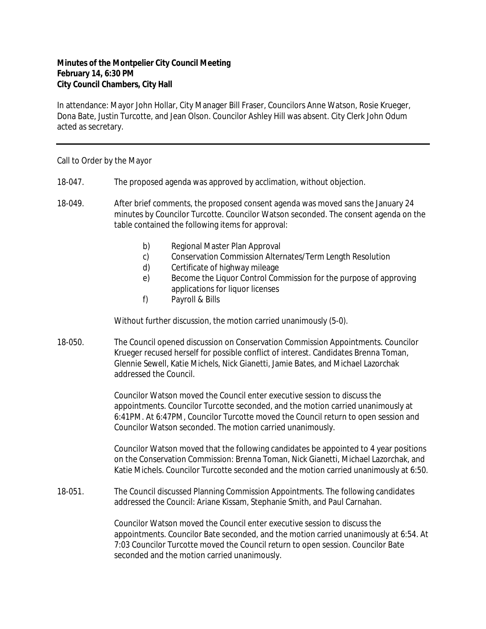## **Minutes of the Montpelier City Council Meeting February 14, 6:30 PM City Council Chambers, City Hall**

In attendance: Mayor John Hollar, City Manager Bill Fraser, Councilors Anne Watson, Rosie Krueger, Dona Bate, Justin Turcotte, and Jean Olson. Councilor Ashley Hill was absent. City Clerk John Odum acted as secretary.

## Call to Order by the Mayor

- 18-047. The proposed agenda was approved by acclimation, without objection.
- 18-049. After brief comments, the proposed consent agenda was moved sans the January 24 minutes by Councilor Turcotte. Councilor Watson seconded. The consent agenda on the table contained the following items for approval:
	- b) Regional Master Plan Approval
	- c) Conservation Commission Alternates/Term Length Resolution
	- d) Certificate of highway mileage
	- e) Become the Liquor Control Commission for the purpose of approving applications for liquor licenses
	- f) Payroll & Bills

Without further discussion, the motion carried unanimously (5-0).

18-050. The Council opened discussion on Conservation Commission Appointments. Councilor Krueger recused herself for possible conflict of interest. Candidates Brenna Toman, Glennie Sewell, Katie Michels, Nick Gianetti, Jamie Bates, and Michael Lazorchak addressed the Council.

> Councilor Watson moved the Council enter executive session to discuss the appointments. Councilor Turcotte seconded, and the motion carried unanimously at 6:41PM. At 6:47PM, Councilor Turcotte moved the Council return to open session and Councilor Watson seconded. The motion carried unanimously.

Councilor Watson moved that the following candidates be appointed to 4 year positions on the Conservation Commission: Brenna Toman, Nick Gianetti, Michael Lazorchak, and Katie Michels. Councilor Turcotte seconded and the motion carried unanimously at 6:50.

18-051. The Council discussed Planning Commission Appointments. The following candidates addressed the Council: Ariane Kissam, Stephanie Smith, and Paul Carnahan.

> Councilor Watson moved the Council enter executive session to discuss the appointments. Councilor Bate seconded, and the motion carried unanimously at 6:54. At 7:03 Councilor Turcotte moved the Council return to open session. Councilor Bate seconded and the motion carried unanimously.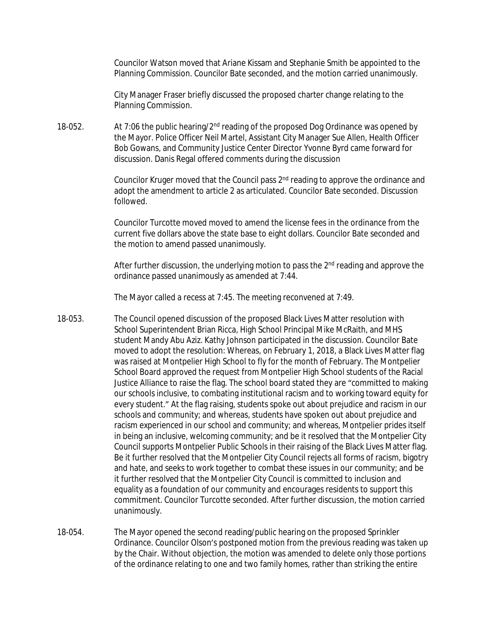Councilor Watson moved that Ariane Kissam and Stephanie Smith be appointed to the Planning Commission. Councilor Bate seconded, and the motion carried unanimously.

City Manager Fraser briefly discussed the proposed charter change relating to the Planning Commission.

18-052. At 7:06 the public hearing/2<sup>nd</sup> reading of the proposed Dog Ordinance was opened by the Mayor. Police Officer Neil Martel, Assistant City Manager Sue Allen, Health Officer Bob Gowans, and Community Justice Center Director Yvonne Byrd came forward for discussion. Danis Regal offered comments during the discussion

> Councilor Kruger moved that the Council pass 2<sup>nd</sup> reading to approve the ordinance and adopt the amendment to article 2 as articulated. Councilor Bate seconded. Discussion followed.

Councilor Turcotte moved moved to amend the license fees in the ordinance from the current five dollars above the state base to eight dollars. Councilor Bate seconded and the motion to amend passed unanimously.

After further discussion, the underlying motion to pass the  $2<sup>nd</sup>$  reading and approve the ordinance passed unanimously as amended at 7:44.

The Mayor called a recess at 7:45. The meeting reconvened at 7:49.

- 18-053. The Council opened discussion of the proposed Black Lives Matter resolution with School Superintendent Brian Ricca, High School Principal Mike McRaith, and MHS student Mandy Abu Aziz. Kathy Johnson participated in the discussion. Councilor Bate moved to adopt the resolution: Whereas, on February 1, 2018, a Black Lives Matter flag was raised at Montpelier High School to fly for the month of February. The Montpelier School Board approved the request from Montpelier High School students of the Racial Justice Alliance to raise the flag. The school board stated they are "committed to making our schools inclusive, to combating institutional racism and to working toward equity for every student." At the flag raising, students spoke out about prejudice and racism in our schools and community; and whereas, students have spoken out about prejudice and racism experienced in our school and community; and whereas, Montpelier prides itself in being an inclusive, welcoming community; and be it resolved that the Montpelier City Council supports Montpelier Public Schools in their raising of the Black Lives Matter flag. Be it further resolved that the Montpelier City Council rejects all forms of racism, bigotry and hate, and seeks to work together to combat these issues in our community; and be it further resolved that the Montpelier City Council is committed to inclusion and equality as a foundation of our community and encourages residents to support this commitment. Councilor Turcotte seconded. After further discussion, the motion carried unanimously.
- 18-054. The Mayor opened the second reading/public hearing on the proposed Sprinkler Ordinance. Councilor Olson's postponed motion from the previous reading was taken up by the Chair. Without objection, the motion was amended to delete only those portions of the ordinance relating to one and two family homes, rather than striking the entire